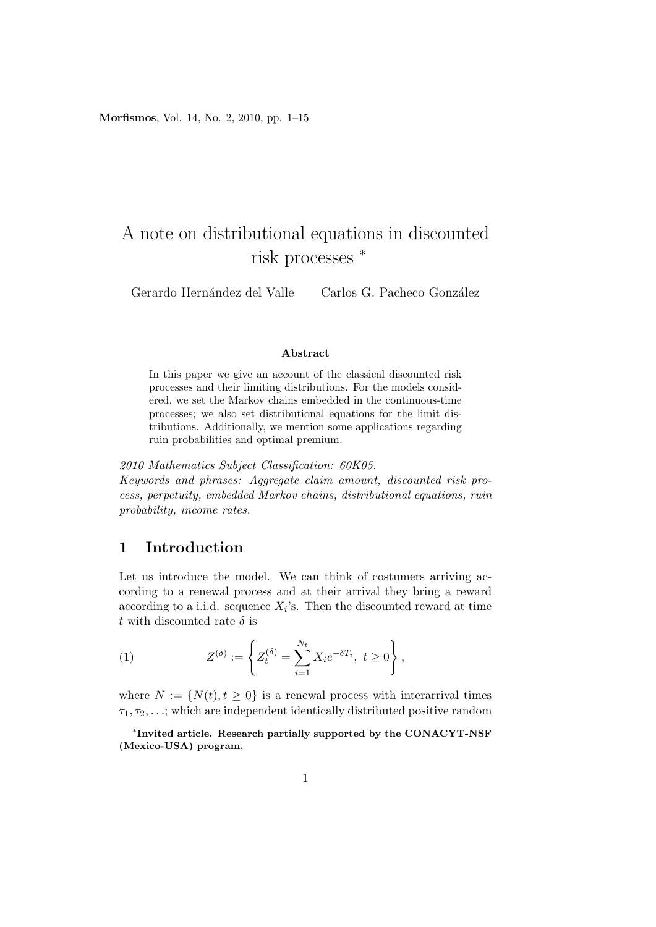**Morfismos**, Vol. 14, No. 2, 2010, pp. 1–15

# A note on distributional equations in discounted risk processes *<sup>∗</sup>*

Gerardo Hernández del Valle Carlos G. Pacheco González

#### **Abstract**

In this paper we give an account of the classical discounted risk processes and their limiting distributions. For the models considered, we set the Markov chains embedded in the continuous-time processes; we also set distributional equations for the limit distributions. Additionally, we mention some applications regarding ruin probabilities and optimal premium.

*2010 Mathematics Subject Classification: 60K05.*

*Keywords and phrases: Aggregate claim amount, discounted risk process, perpetuity, embedded Markov chains, distributional equations, ruin probability, income rates.*

## **1 Introduction**

Let us introduce the model. We can think of costumers arriving according to a renewal process and at their arrival they bring a reward according to a i.i.d. sequence  $X_i$ 's. Then the discounted reward at time *t* with discounted rate  $\delta$  is

(1) 
$$
Z^{(\delta)} := \left\{ Z_t^{(\delta)} = \sum_{i=1}^{N_t} X_i e^{-\delta T_i}, \ t \ge 0 \right\},
$$

where  $N := \{N(t), t \geq 0\}$  is a renewal process with interarrival times *τ*1*, τ*2*, . . .*; which are independent identically distributed positive random

*<sup>∗</sup>* **Invited article. Research partially supported by the CONACYT-NSF (Mexico-USA) program.**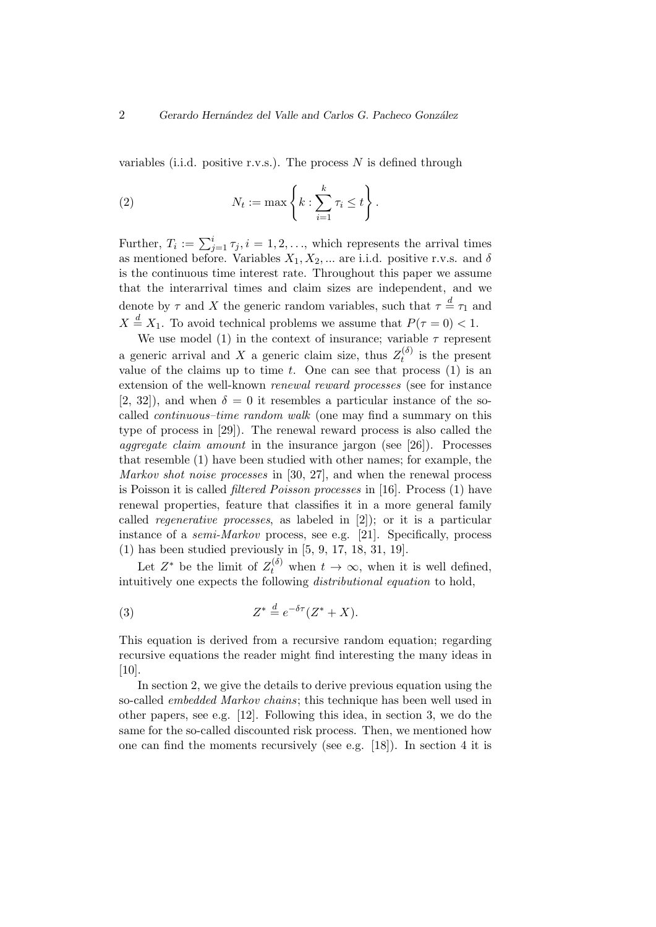variables (i.i.d. positive r.v.s.). The process *N* is defined through

(2) 
$$
N_t := \max \left\{ k : \sum_{i=1}^k \tau_i \leq t \right\}.
$$

Further,  $T_i := \sum_{j=1}^i \tau_j, i = 1, 2, \ldots$ , which represents the arrival times as mentioned before. Variables  $X_1, X_2, \ldots$  are i.i.d. positive r.v.s. and  $\delta$ is the continuous time interest rate. Throughout this paper we assume that the interarrival times and claim sizes are independent, and we denote by  $\tau$  and  $X$  the generic random variables, such that  $\tau \stackrel{d}{=} \tau_1$  and  $X \stackrel{d}{=} X_1$ . To avoid technical problems we assume that  $P(\tau = 0) < 1$ .

We use model (1) in the context of insurance; variable  $\tau$  represent a generic arrival and *X* a generic claim size, thus  $Z_t^{(\delta)}$  $t_t^{(0)}$  is the present value of the claims up to time *t*. One can see that process (1) is an extension of the well-known *renewal reward processes* (see for instance [2, 32]), and when  $\delta = 0$  it resembles a particular instance of the socalled *continuous–time random walk* (one may find a summary on this type of process in [29]). The renewal reward process is also called the *aggregate claim amount* in the insurance jargon (see [26]). Processes that resemble (1) have been studied with other names; for example, the *Markov shot noise processes* in [30, 27], and when the renewal process is Poisson it is called *filtered Poisson processes* in [16]. Process (1) have renewal properties, feature that classifies it in a more general family called *regenerative processes*, as labeled in [2]); or it is a particular instance of a *semi-Markov* process, see e.g. [21]. Specifically, process (1) has been studied previously in [5, 9, 17, 18, 31, 19].

Let  $Z^*$  be the limit of  $Z_t^{(\delta)}$  when  $t \to \infty$ , when it is well defined, intuitively one expects the following *distributional equation* to hold,

(3) 
$$
Z^* \stackrel{d}{=} e^{-\delta \tau} (Z^* + X).
$$

This equation is derived from a recursive random equation; regarding recursive equations the reader might find interesting the many ideas in  $[10]$ .

In section 2, we give the details to derive previous equation using the so-called *embedded Markov chains*; this technique has been well used in other papers, see e.g. [12]. Following this idea, in section 3, we do the same for the so-called discounted risk process. Then, we mentioned how one can find the moments recursively (see e.g. [18]). In section 4 it is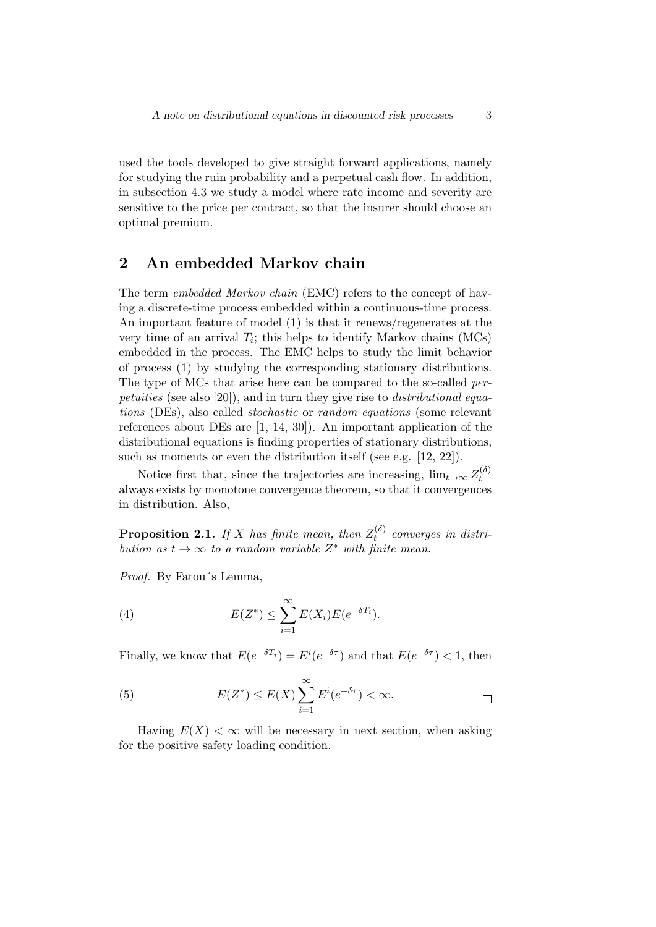used the tools developed to give straight forward applications, namely for studying the ruin probability and a perpetual cash flow. In addition, in subsection 4.3 we study a model where rate income and severity are sensitive to the price per contract, so that the insurer should choose an optimal premium.

## **2 An embedded Markov chain**

The term *embedded Markov chain* (EMC) refers to the concept of having a discrete-time process embedded within a continuous-time process. An important feature of model (1) is that it renews/regenerates at the very time of an arrival  $T_i$ ; this helps to identify Markov chains  $(MCs)$ embedded in the process. The EMC helps to study the limit behavior of process (1) by studying the corresponding stationary distributions. The type of MCs that arise here can be compared to the so-called *perpetuities* (see also [20]), and in turn they give rise to *distributional equations* (DEs), also called *stochastic* or *random equations* (some relevant references about DEs are [1, 14, 30]). An important application of the distributional equations is finding properties of stationary distributions, such as moments or even the distribution itself (see e.g. [12, 22]).

Notice first that, since the trajectories are increasing,  $\lim_{t\to\infty} Z_t^{(\delta)}$ *t* always exists by monotone convergence theorem, so that it convergences in distribution. Also,

**Proposition 2.1.** *If X has finite mean, then*  $Z_t^{(\delta)}$ *t converges in distribution as*  $t \to \infty$  *to a random variable*  $Z^*$  *with finite mean.* 

*Proof.* By Fatou´s Lemma,

(4) 
$$
E(Z^*) \leq \sum_{i=1}^{\infty} E(X_i) E(e^{-\delta T_i}).
$$

Finally, we know that  $E(e^{-\delta T_i}) = E^i(e^{-\delta \tau})$  and that  $E(e^{-\delta \tau}) < 1$ , then

(5) 
$$
E(Z^*) \leq E(X) \sum_{i=1}^{\infty} E^i(e^{-\delta \tau}) < \infty.
$$

Having  $E(X) < \infty$  will be necessary in next section, when asking for the positive safety loading condition.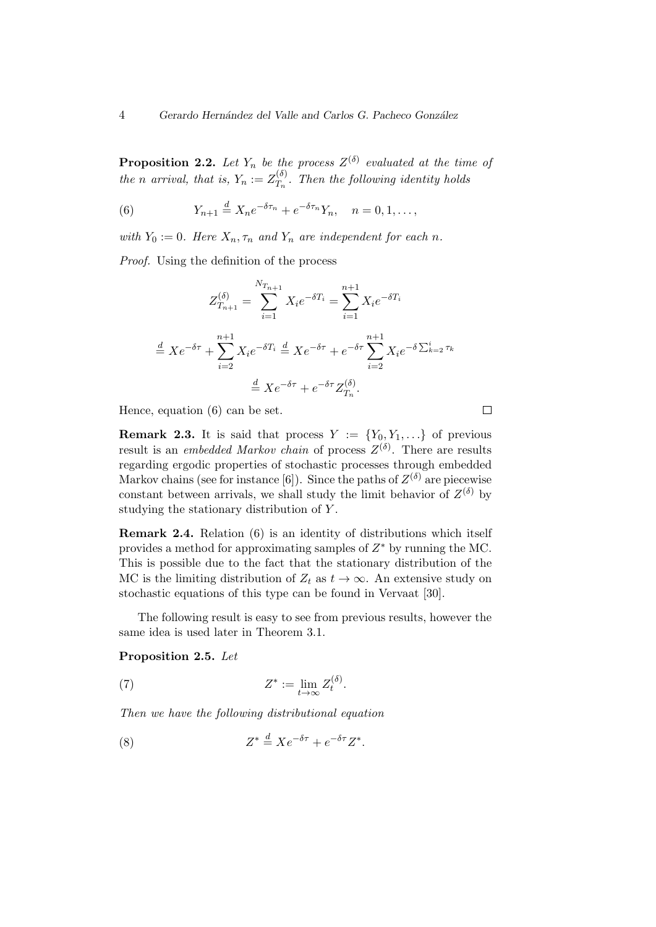**Proposition 2.2.** Let  $Y_n$  be the process  $Z^{(\delta)}$  evaluated at the time of *the n arrival, that is,*  $Y_n := Z_{T_n}^{(\delta)}$  $T_n^{(0)}$ . Then the following identity holds

(6) 
$$
Y_{n+1} \stackrel{d}{=} X_n e^{-\delta \tau_n} + e^{-\delta \tau_n} Y_n, \quad n = 0, 1, \dots,
$$

*with*  $Y_0 := 0$ *. Here*  $X_n$ ,  $\tau_n$  *and*  $Y_n$  *are independent for each n.* 

*Proof.* Using the definition of the process

$$
Z_{T_{n+1}}^{(\delta)} = \sum_{i=1}^{N_{T_{n+1}}} X_i e^{-\delta T_i} = \sum_{i=1}^{n+1} X_i e^{-\delta T_i}
$$

$$
\stackrel{d}{=} X e^{-\delta \tau} + \sum_{i=2}^{n+1} X_i e^{-\delta T_i} \stackrel{d}{=} X e^{-\delta \tau} + e^{-\delta \tau} \sum_{i=2}^{n+1} X_i e^{-\delta \sum_{k=2}^{i} \tau_k}
$$

$$
\stackrel{d}{=} X e^{-\delta \tau} + e^{-\delta \tau} Z_{T_n}^{(\delta)}.
$$

Hence, equation (6) can be set.

**Remark 2.3.** It is said that process  $Y := \{Y_0, Y_1, \ldots\}$  of previous result is an *embedded Markov chain* of process  $Z^{(\delta)}$ . There are results regarding ergodic properties of stochastic processes through embedded Markov chains (see for instance [6]). Since the paths of  $Z^{(\delta)}$  are piecewise constant between arrivals, we shall study the limit behavior of  $Z^{(\delta)}$  by studying the stationary distribution of *Y* .

**Remark 2.4.** Relation (6) is an identity of distributions which itself provides a method for approximating samples of *Z ∗* by running the MC. This is possible due to the fact that the stationary distribution of the MC is the limiting distribution of  $Z_t$  as  $t \to \infty$ . An extensive study on stochastic equations of this type can be found in Vervaat [30].

The following result is easy to see from previous results, however the same idea is used later in Theorem 3.1.

**Proposition 2.5.** *Let*

(7) 
$$
Z^* := \lim_{t \to \infty} Z_t^{(\delta)}.
$$

*Then we have the following distributional equation*

(8) 
$$
Z^* \stackrel{d}{=} X e^{-\delta \tau} + e^{-\delta \tau} Z^*.
$$

 $\Box$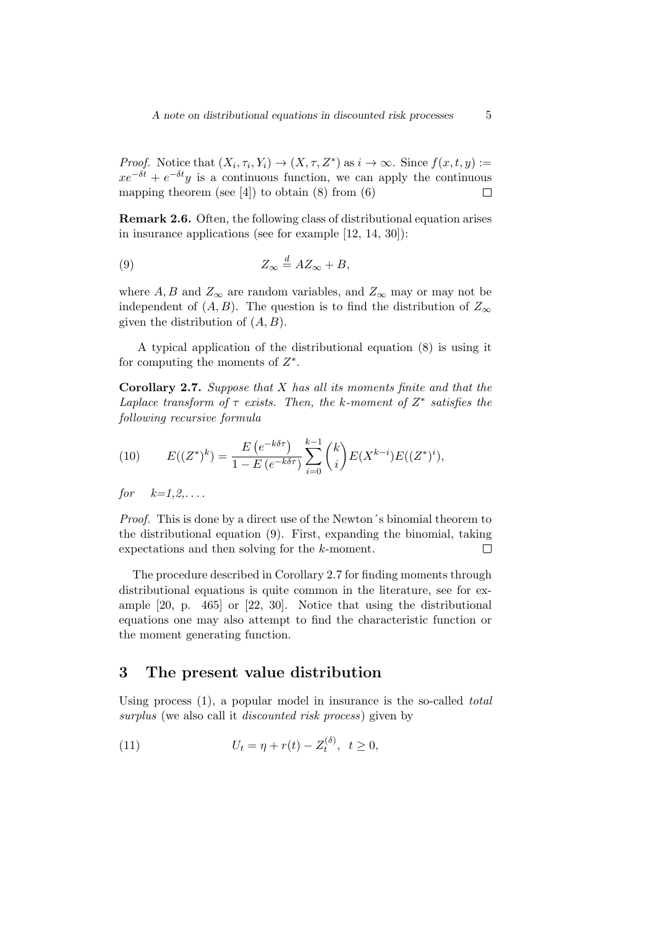*Proof.* Notice that  $(X_i, \tau_i, Y_i) \to (X, \tau, Z^*)$  as  $i \to \infty$ . Since  $f(x, t, y) :=$  $xe^{-\delta t} + e^{-\delta t}y$  is a continuous function, we can apply the continuous mapping theorem (see [4]) to obtain  $(8)$  from  $(6)$  $\Box$ 

**Remark 2.6.** Often, the following class of distributional equation arises in insurance applications (see for example [12, 14, 30]):

(9) 
$$
Z_{\infty} \stackrel{d}{=} AZ_{\infty} + B,
$$

where  $A, B$  and  $Z_{\infty}$  are random variables, and  $Z_{\infty}$  may or may not be independent of  $(A, B)$ . The question is to find the distribution of  $Z_{\infty}$ given the distribution of (*A, B*).

A typical application of the distributional equation (8) is using it for computing the moments of *Z ∗* .

**Corollary 2.7.** *Suppose that X has all its moments finite and that the Laplace transform of*  $\tau$  *exists. Then, the k-moment of*  $Z^*$  *satisfies the following recursive formula*

(10) 
$$
E((Z^*)^k) = \frac{E(e^{-k\delta\tau})}{1 - E(e^{-k\delta\tau})} \sum_{i=0}^{k-1} {k \choose i} E(X^{k-i}) E((Z^*)^i),
$$

*for k=1,2,. . . .*

*Proof.* This is done by a direct use of the Newton's binomial theorem to the distributional equation (9). First, expanding the binomial, taking expectations and then solving for the *k*-moment.  $\Box$ 

The procedure described in Corollary 2.7 for finding moments through distributional equations is quite common in the literature, see for example [20, p. 465] or [22, 30]. Notice that using the distributional equations one may also attempt to find the characteristic function or the moment generating function.

## **3 The present value distribution**

Using process (1), a popular model in insurance is the so-called *total surplus* (we also call it *discounted risk process*) given by

(11) 
$$
U_t = \eta + r(t) - Z_t^{(\delta)}, \ \ t \ge 0,
$$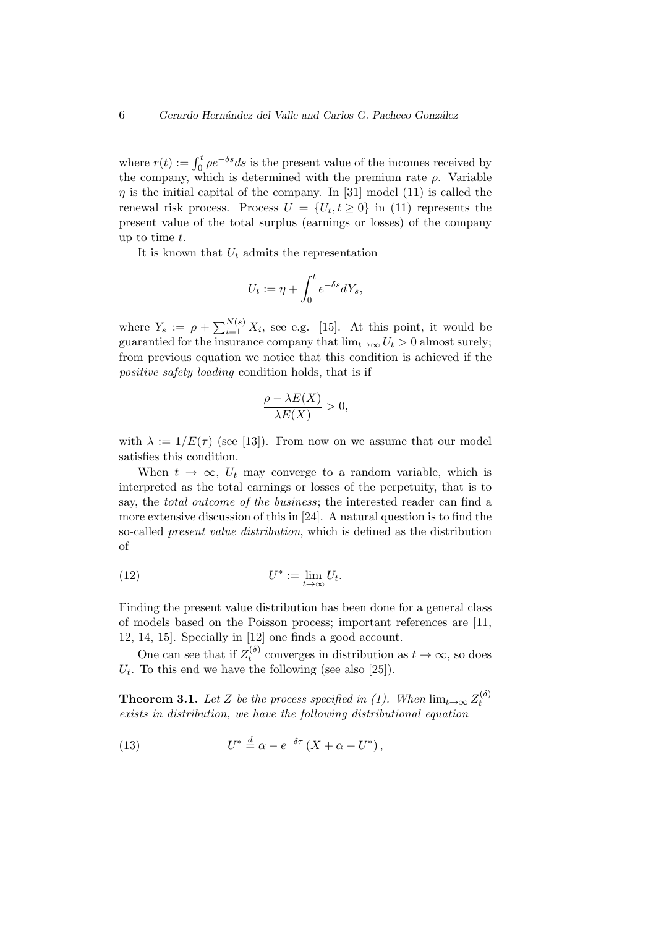where  $r(t) := \int_0^t \rho e^{-\delta s} ds$  is the present value of the incomes received by the company, which is determined with the premium rate  $\rho$ . Variable  $\eta$  is the initial capital of the company. In [31] model (11) is called the renewal risk process. Process  $U = \{U_t, t \geq 0\}$  in (11) represents the present value of the total surplus (earnings or losses) of the company up to time *t*.

It is known that *U<sup>t</sup>* admits the representation

$$
U_t := \eta + \int_0^t e^{-\delta s} dY_s,
$$

where  $Y_s := \rho + \sum_{i=1}^{N(s)} X_i$ , see e.g. [15]. At this point, it would be guarantied for the insurance company that  $\lim_{t\to\infty} U_t > 0$  almost surely; from previous equation we notice that this condition is achieved if the *positive safety loading* condition holds, that is if

$$
\frac{\rho - \lambda E(X)}{\lambda E(X)} > 0,
$$

with  $\lambda := 1/E(\tau)$  (see [13]). From now on we assume that our model satisfies this condition.

When  $t \to \infty$ ,  $U_t$  may converge to a random variable, which is interpreted as the total earnings or losses of the perpetuity, that is to say, the *total outcome of the business*; the interested reader can find a more extensive discussion of this in [24]. A natural question is to find the so-called *present value distribution*, which is defined as the distribution of

(12) 
$$
U^* := \lim_{t \to \infty} U_t.
$$

Finding the present value distribution has been done for a general class of models based on the Poisson process; important references are [11, 12, 14, 15]. Specially in [12] one finds a good account.

One can see that if  $Z_t^{(\delta)}$  $t_t^{(0)}$  converges in distribution as  $t \to \infty$ , so does  $U_t$ . To this end we have the following (see also [25]).

**Theorem 3.1.** *Let Z be the process specified in (1).* When  $\lim_{t\to\infty} Z_t^{(\delta)}$ *t exists in distribution, we have the following distributional equation*

(13) 
$$
U^* \stackrel{d}{=} \alpha - e^{-\delta \tau} (X + \alpha - U^*),
$$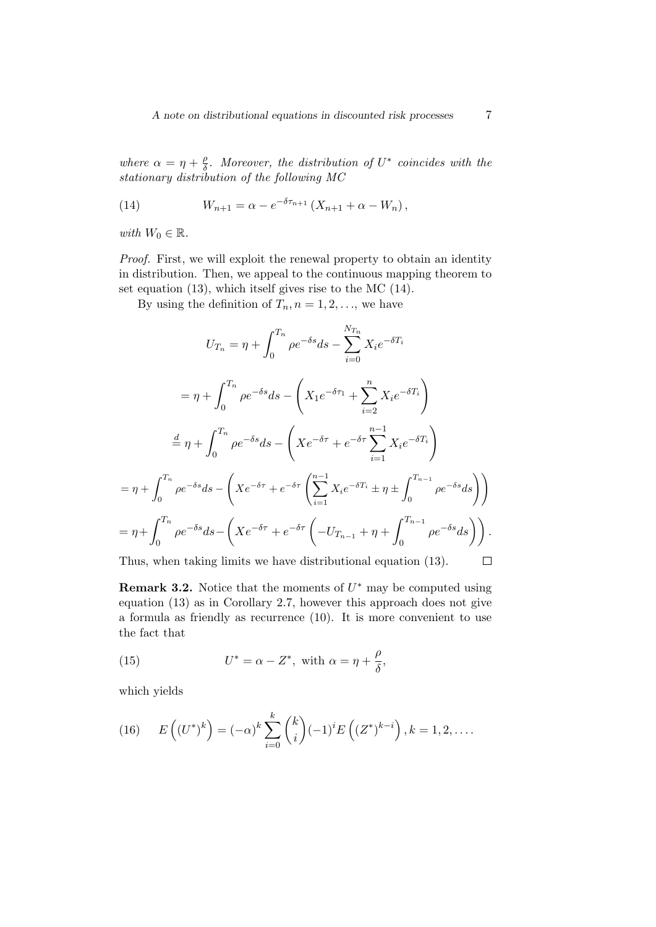*where*  $\alpha = \eta + \frac{\rho}{\delta}$ *δ . Moreover, the distribution of U ∗ coincides with the stationary distribution of the following MC*

(14) 
$$
W_{n+1} = \alpha - e^{-\delta \tau_{n+1}} (X_{n+1} + \alpha - W_n),
$$

*with*  $W_0 \in \mathbb{R}$ *.* 

*Proof.* First, we will exploit the renewal property to obtain an identity in distribution. Then, we appeal to the continuous mapping theorem to set equation (13), which itself gives rise to the MC (14).

By using the definition of  $T_n$ ,  $n = 1, 2, \ldots$ , we have

$$
U_{T_n} = \eta + \int_0^{T_n} \rho e^{-\delta s} ds - \sum_{i=0}^{N_{T_n}} X_i e^{-\delta T_i}
$$
  
\n
$$
= \eta + \int_0^{T_n} \rho e^{-\delta s} ds - \left( X_1 e^{-\delta \tau_1} + \sum_{i=2}^n X_i e^{-\delta T_i} \right)
$$
  
\n
$$
\stackrel{d}{=} \eta + \int_0^{T_n} \rho e^{-\delta s} ds - \left( X e^{-\delta \tau} + e^{-\delta \tau} \sum_{i=1}^{n-1} X_i e^{-\delta T_i} \right)
$$
  
\n
$$
= \eta + \int_0^{T_n} \rho e^{-\delta s} ds - \left( X e^{-\delta \tau} + e^{-\delta \tau} \left( \sum_{i=1}^{n-1} X_i e^{-\delta T_i} \pm \eta \pm \int_0^{T_{n-1}} \rho e^{-\delta s} ds \right) \right)
$$
  
\n
$$
= \eta + \int_0^{T_n} \rho e^{-\delta s} ds - \left( X e^{-\delta \tau} + e^{-\delta \tau} \left( -U_{T_{n-1}} + \eta + \int_0^{T_{n-1}} \rho e^{-\delta s} ds \right) \right).
$$

Thus, when taking limits we have distributional equation (13).  $\Box$ 

**Remark 3.2.** Notice that the moments of  $U^*$  may be computed using equation (13) as in Corollary 2.7, however this approach does not give a formula as friendly as recurrence (10). It is more convenient to use the fact that

(15) 
$$
U^* = \alpha - Z^*, \text{ with } \alpha = \eta + \frac{\rho}{\delta},
$$

which yields

(16) 
$$
E\left((U^*)^k\right) = (-\alpha)^k \sum_{i=0}^k {k \choose i} (-1)^i E\left((Z^*)^{k-i}\right), k = 1, 2, \dots
$$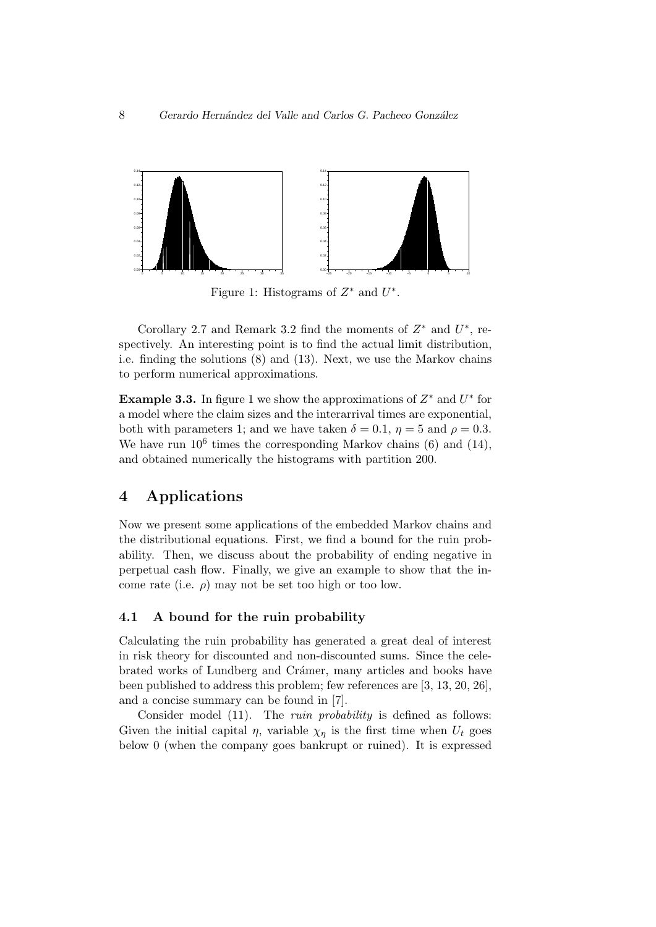

Figure 1: Histograms of *Z ∗* and *U ∗* .

Corollary 2.7 and Remark 3.2 find the moments of  $Z^*$  and  $U^*$ , respectively. An interesting point is to find the actual limit distribution, i.e. finding the solutions (8) and (13). Next, we use the Markov chains to perform numerical approximations.

**Example 3.3.** In figure 1 we show the approximations of *Z ∗* and *U ∗* for a model where the claim sizes and the interarrival times are exponential, both with parameters 1; and we have taken  $\delta = 0.1$ ,  $\eta = 5$  and  $\rho = 0.3$ . We have run  $10^6$  times the corresponding Markov chains (6) and (14), and obtained numerically the histograms with partition 200.

## **4 Applications**

Now we present some applications of the embedded Markov chains and the distributional equations. First, we find a bound for the ruin probability. Then, we discuss about the probability of ending negative in perpetual cash flow. Finally, we give an example to show that the income rate (i.e.  $\rho$ ) may not be set too high or too low.

#### **4.1 A bound for the ruin probability**

Calculating the ruin probability has generated a great deal of interest in risk theory for discounted and non-discounted sums. Since the celebrated works of Lundberg and Crámer, many articles and books have been published to address this problem; few references are [3, 13, 20, 26], and a concise summary can be found in [7].

Consider model (11). The *ruin probability* is defined as follows: Given the initial capital  $\eta$ , variable  $\chi_{\eta}$  is the first time when  $U_t$  goes below 0 (when the company goes bankrupt or ruined). It is expressed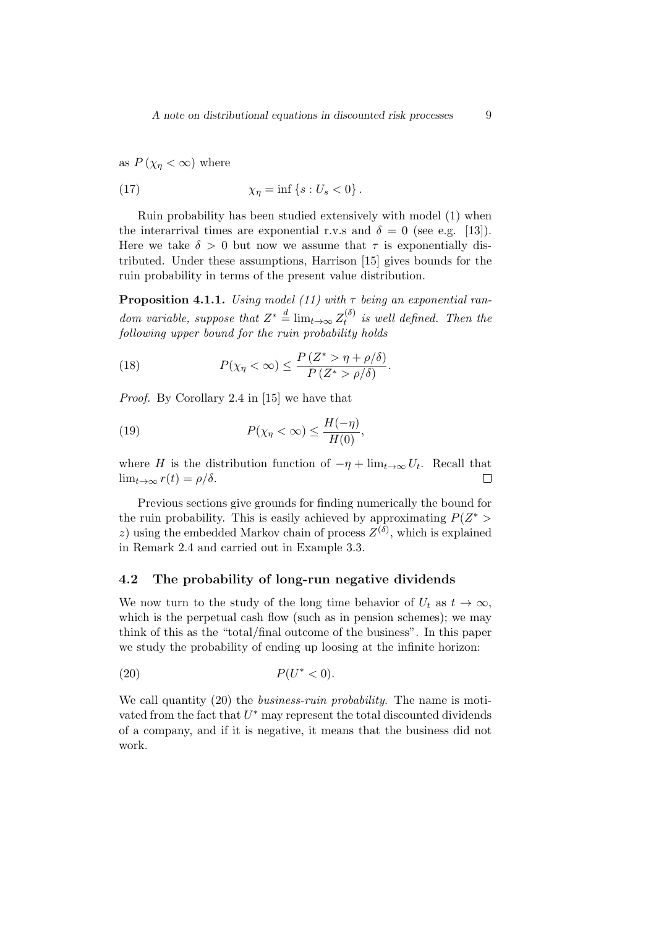as  $P(\chi_n < \infty)$  where

(17) 
$$
\chi_{\eta} = \inf \{ s : U_s < 0 \} .
$$

Ruin probability has been studied extensively with model (1) when the interarrival times are exponential r.v.s and  $\delta = 0$  (see e.g. [13]). Here we take  $\delta > 0$  but now we assume that  $\tau$  is exponentially distributed. Under these assumptions, Harrison [15] gives bounds for the ruin probability in terms of the present value distribution.

**Proposition 4.1.1.** *Using model (11) with τ being an exponential random variable, suppose that*  $Z^* \stackrel{d}{=} \lim_{t \to \infty} Z_t^{(\delta)}$ *t is well defined. Then the following upper bound for the ruin probability holds*

(18) 
$$
P(\chi_{\eta} < \infty) \leq \frac{P(Z^* > \eta + \rho/\delta)}{P(Z^* > \rho/\delta)}.
$$

*Proof.* By Corollary 2.4 in [15] we have that

(19) 
$$
P(\chi_{\eta} < \infty) \leq \frac{H(-\eta)}{H(0)},
$$

where *H* is the distribution function of  $-\eta + \lim_{t \to \infty} U_t$ . Recall that  $\lim_{t\to\infty} r(t) = \rho/\delta.$  $\Box$ 

Previous sections give grounds for finding numerically the bound for the ruin probability. This is easily achieved by approximating  $P(Z^*)$ *z*) using the embedded Markov chain of process  $Z^{(\delta)}$ , which is explained in Remark 2.4 and carried out in Example 3.3.

#### **4.2 The probability of long-run negative dividends**

We now turn to the study of the long time behavior of  $U_t$  as  $t \to \infty$ , which is the perpetual cash flow (such as in pension schemes); we may think of this as the "total/final outcome of the business". In this paper we study the probability of ending up loosing at the infinite horizon:

$$
(20) \t\t\t P(U^*<0).
$$

We call quantity (20) the *business-ruin probability*. The name is motivated from the fact that  $U^*$  may represent the total discounted dividends of a company, and if it is negative, it means that the business did not work.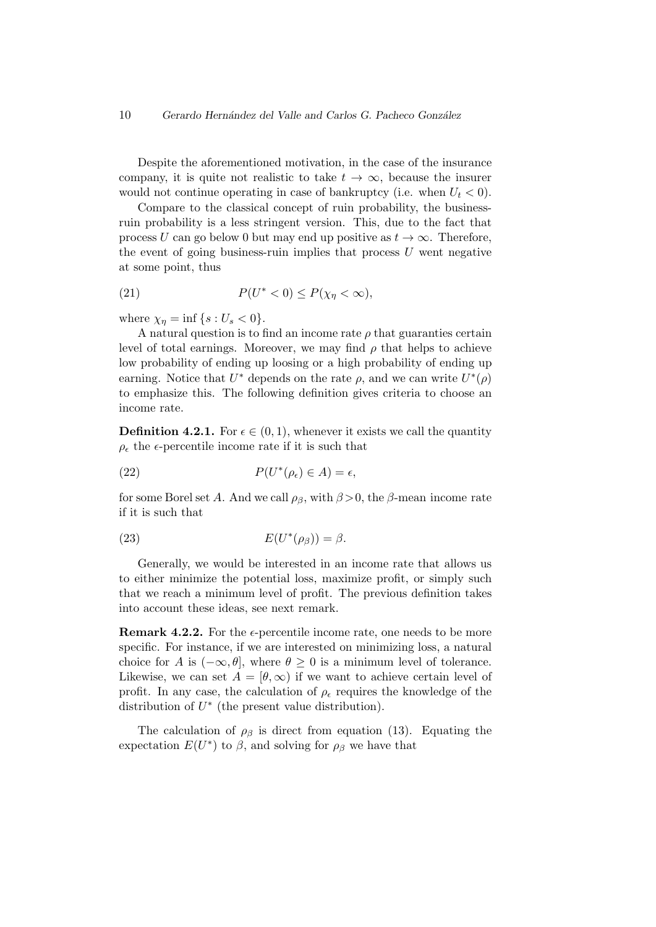#### 10 *Gerardo Hern´andez del Valle and Carlos G. Pacheco Gonz´alez*

Despite the aforementioned motivation, in the case of the insurance company, it is quite not realistic to take  $t \to \infty$ , because the insurer would not continue operating in case of bankruptcy (i.e. when  $U_t < 0$ ).

Compare to the classical concept of ruin probability, the businessruin probability is a less stringent version. This, due to the fact that process *U* can go below 0 but may end up positive as  $t \to \infty$ . Therefore, the event of going business-ruin implies that process *U* went negative at some point, thus

$$
(21) \t\t P(U^*<0) \le P(\chi_\eta<\infty),
$$

where  $\chi_n = \inf \{ s : U_s < 0 \}.$ 

A natural question is to find an income rate  $\rho$  that guaranties certain level of total earnings. Moreover, we may find  $\rho$  that helps to achieve low probability of ending up loosing or a high probability of ending up earning. Notice that  $U^*$  depends on the rate  $\rho$ , and we can write  $U^*(\rho)$ to emphasize this. The following definition gives criteria to choose an income rate.

**Definition 4.2.1.** For  $\epsilon \in (0,1)$ , whenever it exists we call the quantity  $\rho_{\epsilon}$  the  $\epsilon$ -percentile income rate if it is such that

(22) 
$$
P(U^*(\rho_\epsilon) \in A) = \epsilon,
$$

for some Borel set *A*. And we call  $\rho_{\beta}$ , with  $\beta > 0$ , the  $\beta$ -mean income rate if it is such that

(23) 
$$
E(U^*(\rho_\beta))=\beta.
$$

Generally, we would be interested in an income rate that allows us to either minimize the potential loss, maximize profit, or simply such that we reach a minimum level of profit. The previous definition takes into account these ideas, see next remark.

**Remark 4.2.2.** For the  $\epsilon$ -percentile income rate, one needs to be more specific. For instance, if we are interested on minimizing loss, a natural choice for *A* is  $(-\infty, \theta]$ , where  $\theta \geq 0$  is a minimum level of tolerance. Likewise, we can set  $A = [\theta, \infty)$  if we want to achieve certain level of profit. In any case, the calculation of  $\rho_{\epsilon}$  requires the knowledge of the distribution of *U ∗* (the present value distribution).

The calculation of  $\rho_\beta$  is direct from equation (13). Equating the expectation  $E(U^*)$  to  $\beta$ , and solving for  $\rho_\beta$  we have that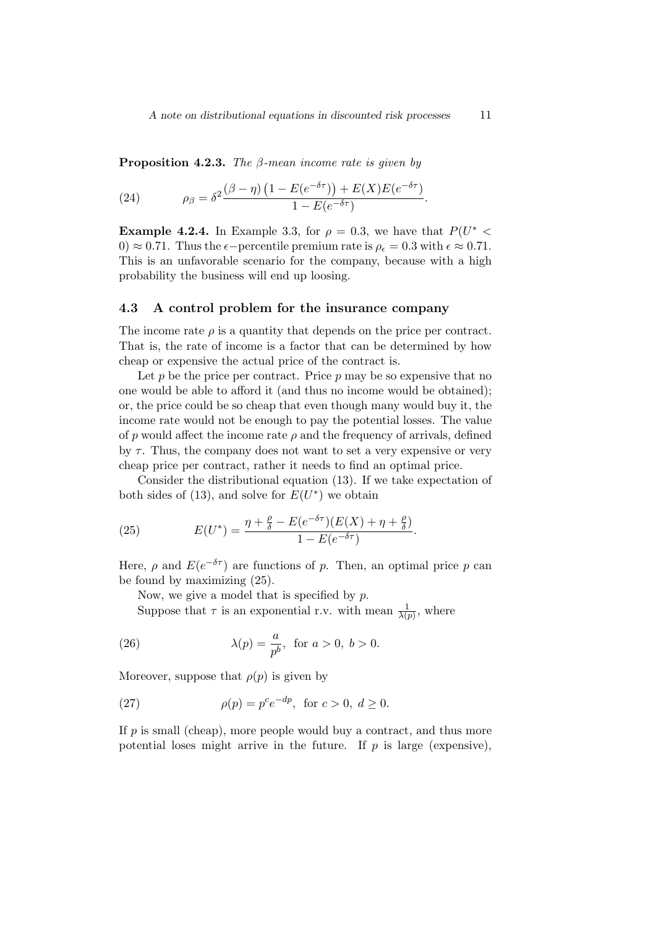**Proposition 4.2.3.** *The β-mean income rate is given by*

(24) 
$$
\rho_{\beta} = \delta^2 \frac{(\beta - \eta) (1 - E(e^{-\delta \tau})) + E(X) E(e^{-\delta \tau})}{1 - E(e^{-\delta \tau})}.
$$

**Example 4.2.4.** In Example 3.3, for  $\rho = 0.3$ , we have that  $P(U^* \leq$ 0)  $\approx$  0.71. Thus the  $\epsilon$ -percentile premium rate is  $\rho_{\epsilon} = 0.3$  with  $\epsilon \approx 0.71$ . This is an unfavorable scenario for the company, because with a high probability the business will end up loosing.

#### **4.3 A control problem for the insurance company**

The income rate  $\rho$  is a quantity that depends on the price per contract. That is, the rate of income is a factor that can be determined by how cheap or expensive the actual price of the contract is.

Let  $p$  be the price per contract. Price  $p$  may be so expensive that no one would be able to afford it (and thus no income would be obtained); or, the price could be so cheap that even though many would buy it, the income rate would not be enough to pay the potential losses. The value of  $p$  would affect the income rate  $\rho$  and the frequency of arrivals, defined by  $\tau$ . Thus, the company does not want to set a very expensive or very cheap price per contract, rather it needs to find an optimal price.

Consider the distributional equation (13). If we take expectation of both sides of (13), and solve for  $E(U^*)$  we obtain

(25) 
$$
E(U^*) = \frac{\eta + \frac{\rho}{\delta} - E(e^{-\delta \tau})(E(X) + \eta + \frac{\rho}{\delta})}{1 - E(e^{-\delta \tau})}.
$$

Here,  $\rho$  and  $E(e^{-\delta \tau})$  are functions of *p*. Then, an optimal price *p* can be found by maximizing (25).

Now, we give a model that is specified by *p*.

Suppose that  $\tau$  is an exponential r.v. with mean  $\frac{1}{\lambda(p)}$ , where

(26) 
$$
\lambda(p) = \frac{a}{p^b}
$$
, for  $a > 0$ ,  $b > 0$ .

Moreover, suppose that  $\rho(p)$  is given by

(27) 
$$
\rho(p) = p^c e^{-dp}, \text{ for } c > 0, d \ge 0.
$$

If *p* is small (cheap), more people would buy a contract, and thus more potential loses might arrive in the future. If  $p$  is large (expensive),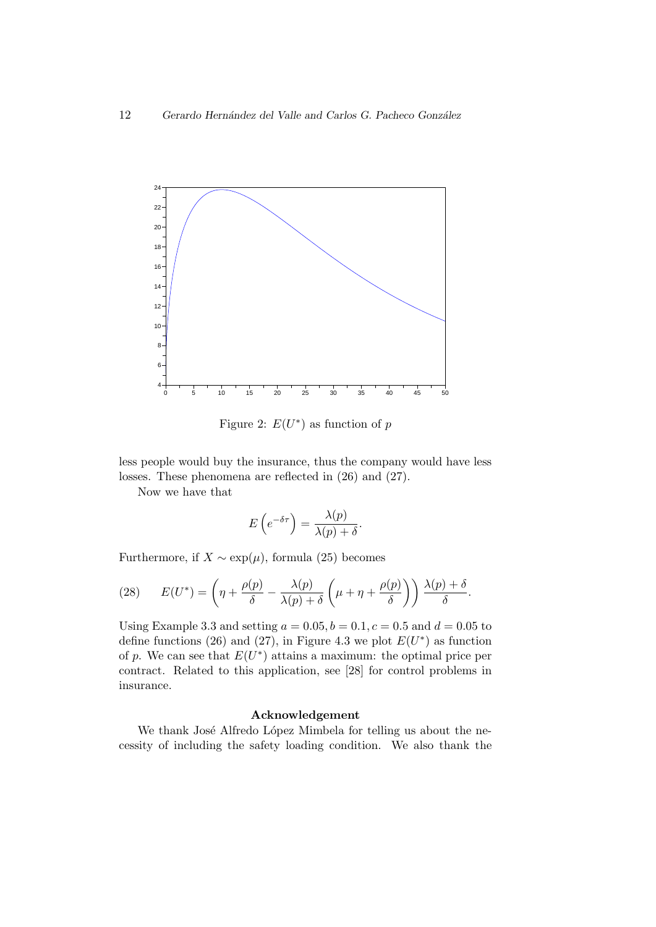

Figure 2:  $E(U^*)$  as function of *p* 

less people would buy the insurance, thus the company would have less losses. These phenomena are reflected in (26) and (27).

Now we have that

$$
E\left(e^{-\delta\tau}\right) = \frac{\lambda(p)}{\lambda(p) + \delta}.
$$

Furthermore, if  $X \sim \exp(\mu)$ , formula (25) becomes

(28) 
$$
E(U^*) = \left(\eta + \frac{\rho(p)}{\delta} - \frac{\lambda(p)}{\lambda(p) + \delta} \left(\mu + \eta + \frac{\rho(p)}{\delta}\right)\right) \frac{\lambda(p) + \delta}{\delta}.
$$

Using Example 3.3 and setting  $a = 0.05, b = 0.1, c = 0.5$  and  $d = 0.05$  to define functions (26) and (27), in Figure 4.3 we plot  $E(U^*)$  as function of p. We can see that  $E(U^*)$  attains a maximum: the optimal price per contract. Related to this application, see [28] for control problems in insurance.

#### **Acknowledgement**

We thank José Alfredo López Mimbela for telling us about the necessity of including the safety loading condition. We also thank the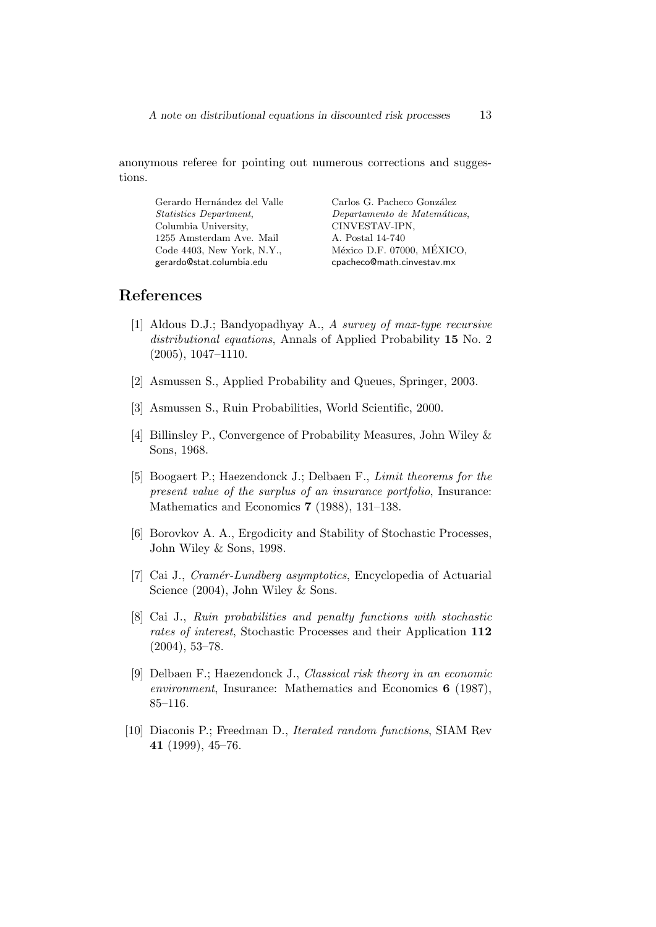anonymous referee for pointing out numerous corrections and suggestions.

Gerardo Hernández del Valle *Statistics Department*, Columbia University, 1255 Amsterdam Ave. Mail Code 4403, New York, N.Y., gerardo@stat.columbia.edu

Carlos G. Pacheco González *Departamento de Matem´aticas*, CINVESTAV-IPN, A. Postal 14-740 México D.F. 07000, MÉXICO, cpacheco@math.cinvestav.mx

### **References**

- [1] Aldous D.J.; Bandyopadhyay A., *A survey of max-type recursive distributional equations*, Annals of Applied Probability **15** No. 2 (2005), 1047–1110.
- [2] Asmussen S., Applied Probability and Queues, Springer, 2003.
- [3] Asmussen S., Ruin Probabilities, World Scientific, 2000.
- [4] Billinsley P., Convergence of Probability Measures, John Wiley & Sons, 1968.
- [5] Boogaert P.; Haezendonck J.; Delbaen F., *Limit theorems for the present value of the surplus of an insurance portfolio*, Insurance: Mathematics and Economics **7** (1988), 131–138.
- [6] Borovkov A. A., Ergodicity and Stability of Stochastic Processes, John Wiley & Sons, 1998.
- [7] Cai J., *Cram´er-Lundberg asymptotics*, Encyclopedia of Actuarial Science (2004), John Wiley & Sons.
- [8] Cai J., *Ruin probabilities and penalty functions with stochastic rates of interest*, Stochastic Processes and their Application **112** (2004), 53–78.
- [9] Delbaen F.; Haezendonck J., *Classical risk theory in an economic environment*, Insurance: Mathematics and Economics **6** (1987), 85–116.
- [10] Diaconis P.; Freedman D., *Iterated random functions*, SIAM Rev **41** (1999), 45–76.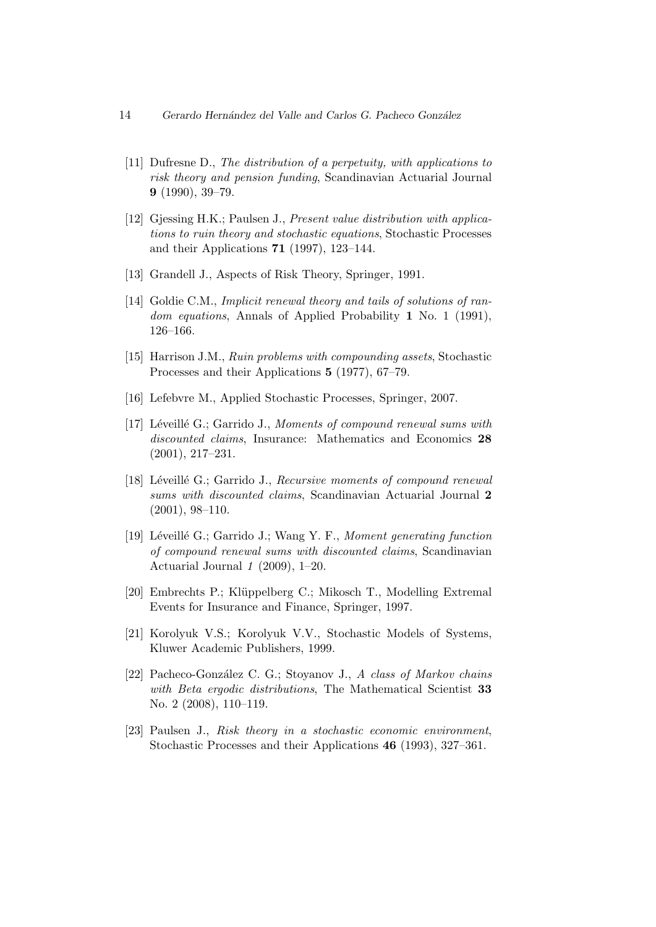- 14 *Gerardo Hern´andez del Valle and Carlos G. Pacheco Gonz´alez*
	- [11] Dufresne D., *The distribution of a perpetuity, with applications to risk theory and pension funding*, Scandinavian Actuarial Journal **9** (1990), 39–79.
	- [12] Gjessing H.K.; Paulsen J., *Present value distribution with applications to ruin theory and stochastic equations*, Stochastic Processes and their Applications **71** (1997), 123–144.
	- [13] Grandell J., Aspects of Risk Theory, Springer, 1991.
- [14] Goldie C.M., *Implicit renewal theory and tails of solutions of random equations*, Annals of Applied Probability **1** No. 1 (1991), 126–166.
- [15] Harrison J.M., *Ruin problems with compounding assets*, Stochastic Processes and their Applications **5** (1977), 67–79.
- [16] Lefebvre M., Applied Stochastic Processes, Springer, 2007.
- [17] Léveillé G.; Garrido J., *Moments of compound renewal sums with discounted claims*, Insurance: Mathematics and Economics **28** (2001), 217–231.
- [18] Léveillé G.; Garrido J., *Recursive moments of compound renewal sums with discounted claims*, Scandinavian Actuarial Journal **2** (2001), 98–110.
- [19] Léveillé G.; Garrido J.; Wang Y. F., *Moment generating function of compound renewal sums with discounted claims*, Scandinavian Actuarial Journal *1* (2009), 1–20.
- [20] Embrechts P.; Kl¨uppelberg C.; Mikosch T., Modelling Extremal Events for Insurance and Finance, Springer, 1997.
- [21] Korolyuk V.S.; Korolyuk V.V., Stochastic Models of Systems, Kluwer Academic Publishers, 1999.
- [22] Pacheco-González C. G.; Stoyanov J., *A class of Markov chains with Beta ergodic distributions*, The Mathematical Scientist **33** No. 2 (2008), 110–119.
- [23] Paulsen J., *Risk theory in a stochastic economic environment*, Stochastic Processes and their Applications **46** (1993), 327–361.